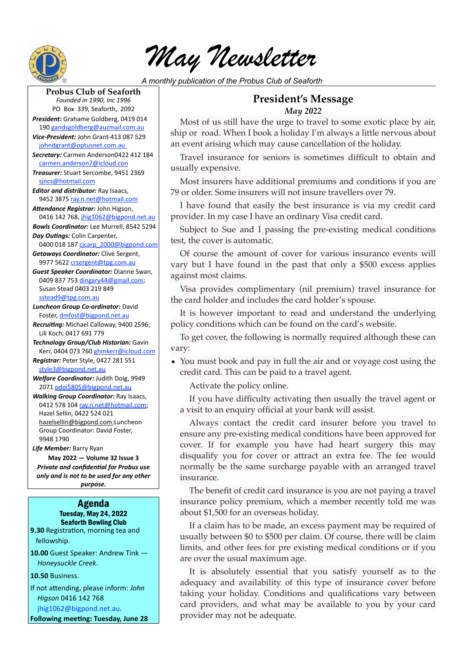

*May Newsletter*

*A monthly publication of the Probus Club of Seaforth*

## **Probus Club of Seaforth**

*Founded in 1990, Inc 1996* PO Box 339, Seaforth, 2092

*President:* Grahame Goldberg, 0419 014 190 [gandsgoldberg@auzmail.com.au](mailto:gandsgoldberg@auzmail.com.au)

*Vice-President:* John Grant-413 087 529 [johndgrant@optusnet.com.au](mailto:johndgrant@optusnet.com.au) 

*Secretary:* Carmen Anderson0422 412 184 [carmen.anderson7@icloud.con](mailto:carmen.anderson7@icloud.con)

*Treasurer:* Stuart Sercombe, 9451 2369 [sjncs@hotmail.com](mailto:sjncs@hotmail.com)

*Editor and distributor:* Ray Isaacs, 9452 3875 [ray.n.net@hotmail.com](mailto:ray.n.net@hotmail.com)

*Attendance Registrar:* John Higson, 0416 142 768, [jhig1062@bigpond.net.au](mailto:jhig1062@bigpond.net.au)

*Bowls Coordinator:* Lee Murrell, 8542 5294 *Day Outings:* Colin Carpenter,

0400 018 187 [cjcarp\\_2000@bigpond.com](mailto:crsergent@tpg.com.au) *Getaways Coordinator:* Clive Sergent,

9977 5622 [crsergent@tpg.com.au](mailto:crsergent@tpg.com.au)

*Guest Speaker Coordinator:* Dianne Swan, 0409 837 753 [dingary44@gmail.com](mailto:dingary44@gmail.com); Susan Stead 0403 219 849 [sstead9@tpg.com.au](mailto:sstead9@tpg.com.au)

*Luncheon Group Co-ordinator:* David Foster, [dmfost@bigpond.net.au](mailto:dmfost@bigpond.net.au)

*Recruiting:* Michael Calloway, 9400 2596; Lili Koch, 0417 691 779

*Technology Group/Club Historian:* Gavin Kerr, 0404 073 760 [ghmkerr@icloud.com](mailto:ghmkerr@icloud.com)

*Registrar:* Peter Style, 0427 281 551 [style3@bigpond.net.au](mailto:style3@bigpond.net.au)

*Welfare Coordinator:* Judith Doig, 9949 2071 [pdoi5805@bigpond.net.au](mailto:pdoi5805@bigpond.net.au)

*Walking Group Coordinator:* Ray Isaacs, 0412 578 104 [ray.n.net@hotmail.com](mailto:ray.n.net@hotmail.com); Hazel Sellin, 0422 524 021 [hazelsellin@bigpond.com;](mailto:hazelsellin@bigpond.com)Luncheon Group Coordinator: David Foster, 9948 1790

*Life Member:* Barry Ryan **May 2022 — Volume 32 Issue 3** *Private and confidential for Probus use only and is not to be used for any other purpose.*

#### Agenda Tuesday, May 24, 2022 Seaforth Bowling Club

**9.30** Registration, morning tea and fellowship.

**10.00** Guest Speaker: Andrew Tink — *Honeysuckle Creek*.

**10.50** Business.

If not attending, please inform: *John Higson* 0416 142 768 [jhig1062@bigpond.net.au.](mailto:jhig1062@bigpond.net.au)

**Following meeting: Tuesday, June 28**

## **President's Message**  *May 2022*

Most of us still have the urge to travel to some exotic place by air, ship or road. When I book a holiday I'm always a little nervous about an event arising which may cause cancellation of the holiday.

Travel insurance for seniors is sometimes difficult to obtain and usually expensive.

Most insurers have additional premiums and conditions if you are 79 or older. Some insurers will not insure travellers over 79.

I have found that easily the best insurance is via my credit card provider. In my case I have an ordinary Visa credit card.

Subject to Sue and I passing the pre-existing medical conditions test, the cover is automatic.

Of course the amount of cover for various insurance events will vary but I have found in the past that only a \$500 excess applies against most claims.

Visa provides complimentary (nil premium) travel insurance for the card holder and includes the card holder's spouse.

It is however important to read and understand the underlying policy conditions which can be found on the card's website.

To get cover, the following is normally required although these can vary:

• You must book and pay in full the air and or voyage cost using the credit card. This can be paid to a travel agent.

Activate the policy online.

If you have difficulty activating then usually the travel agent or a visit to an enquiry official at your bank will assist.

Always contact the credit card insurer before you travel to ensure any pre-existing medical conditions have been approved for cover. If for example you have had heart surgery this may disqualify you for cover or attract an extra fee. The fee would normally be the same surcharge payable with an arranged travel insurance.

The benefit of credit card insurance is you are not paying a travel insurance policy premium, which a member recently told me was about \$1,500 for an overseas holiday.

If a claim has to be made, an excess payment may be required of usually between \$0 to \$500 per claim. Of course, there will be claim limits, and other fees for pre existing medical conditions or if you are over the usual maximum age.

It is absolutely essential that you satisfy yourself as to the adequacy and availability of this type of insurance cover before taking your holiday. Conditions and qualifications vary between card providers, and what may be available to you by your card provider may not be adequate.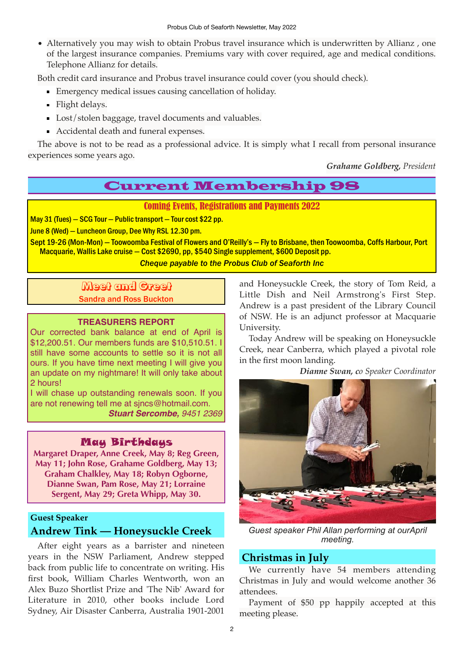• Alternatively you may wish to obtain Probus travel insurance which is underwritten by Allianz , one of the largest insurance companies. Premiums vary with cover required, age and medical conditions. Telephone Allianz for details.

Both credit card insurance and Probus travel insurance could cover (you should check).

- Emergency medical issues causing cancellation of holiday.
- **Flight delays.**
- **Lost/stolen baggage, travel documents and valuables.**
- Accidental death and funeral expenses.

The above is not to be read as a professional advice. It is simply what I recall from personal insurance experiences some years ago.

*Grahame Goldberg, President* 

# Current Membership 98

### Coming Events, Registrations and Payments 2022

May 31 (Tues) — SCG Tour — Public transport — Tour cost \$22 pp.

June 8 (Wed) — Luncheon Group, Dee Why RSL 12.30 pm.

Sept 19-26 (Mon-Mon) — Toowoomba Festival of Flowers and O'Reilly's — Fly to Brisbane, then Toowoomba, Coffs Harbour, Port Macquarie, Wallis Lake cruise — Cost \$2690, pp, \$540 Single supplement, \$600 Deposit pp.

*Cheque payable to the Probus Club of Seaforth Inc*

Meet and Greet Sandra and Ross Buckton

### **TREASURERS REPORT**

Our corrected bank balance at end of April is \$12,200.51. Our members funds are \$10,510.51. I still have some accounts to settle so it is not all ours. If you have time next meeting I will give you an update on my nightmare! It will only take about 2 hours!

I will chase up outstanding renewals soon. If you are not renewing tell me at [sjncs@hotmail.com](mailto:sjncs@hotmail.com). *Stuart Sercombe, 9451 2369* 

## May Birthdays

**Margaret Draper, Anne Creek, May 8; Reg Green, May 11; John Rose, Grahame Goldberg, May 13; Graham Chalkley, May 18; Robyn Ogborne, Dianne Swan, Pam Rose, May 21; Lorraine Sergent, May 29; Greta Whipp, May 30.**

## **Guest Speaker Andrew Tink — Honeysuckle Creek**

After eight years as a barrister and nineteen years in the NSW Parliament, Andrew stepped back from public life to concentrate on writing. His first book, William Charles Wentworth, won an Alex Buzo Shortlist Prize and 'The Nib' Award for Literature in 2010, other books include Lord Sydney, Air Disaster Canberra, Australia 1901-2001 and Honeysuckle Creek, the story of Tom Reid, a Little Dish and Neil Armstrong's First Step. Andrew is a past president of the Library Council of NSW. He is an adjunct professor at Macquarie University.

Today Andrew will be speaking on Honeysuckle Creek, near Canberra, which played a pivotal role in the first moon landing.

*Dianne Swan, co Speaker Coordinator* 



*Guest speaker Phil Allan performing at ourApril meeting.*

## **Christmas in July**

We currently have 54 members attending Christmas in July and would welcome another 36 attendees.

Payment of \$50 pp happily accepted at this meeting please.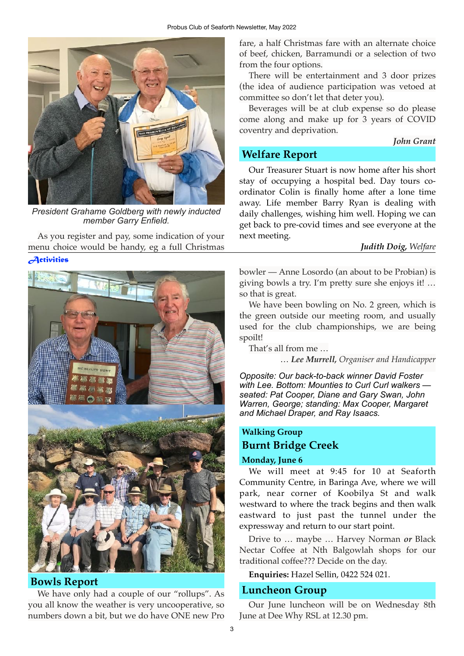

*President Grahame Goldberg with newly inducted member Garry Enfield.*

As you register and pay, some indication of your menu choice would be handy, eg a full Christmas

### *Activities*



## **Bowls Report**

We have only had a couple of our "rollups". As you all know the weather is very uncooperative, so numbers down a bit, but we do have ONE new Pro

fare, a half Christmas fare with an alternate choice of beef, chicken, Barramundi or a selection of two from the four options.

There will be entertainment and 3 door prizes (the idea of audience participation was vetoed at committee so don't let that deter you).

Beverages will be at club expense so do please come along and make up for 3 years of COVID coventry and deprivation.

#### *John Grant*

## **Welfare Report**

Our Treasurer Stuart is now home after his short stay of occupying a hospital bed. Day tours coordinator Colin is finally home after a lone time away. Life member Barry Ryan is dealing with daily challenges, wishing him well. Hoping we can get back to pre-covid times and see everyone at the next meeting.

### *Judith Doig, Welfare*

bowler — Anne Losordo (an about to be Probian) is giving bowls a try. I'm pretty sure she enjoys it! … so that is great.

We have been bowling on No. 2 green, which is the green outside our meeting room, and usually used for the club championships, we are being spoilt!

That's all from me …

… *Lee Murrell, Organiser and Handicapper* 

*Opposite: Our back-to-back winner David Foster with Lee. Bottom: Mounties to Curl Curl walkers seated: Pat Cooper, Diane and Gary Swan, John Warren, George; standing: Max Cooper, Margaret and Michael Draper, and Ray Isaacs.*

## **Walking Group Burnt Bridge Creek**

### **Monday, June 6**

We will meet at 9:45 for 10 at Seaforth Community Centre, in Baringa Ave, where we will park, near corner of Koobilya St and walk westward to where the track begins and then walk eastward to just past the tunnel under the expressway and return to our start point.

Drive to … maybe … Harvey Norman *or* Black Nectar Coffee at Nth Balgowlah shops for our traditional coffee??? Decide on the day.

**Enquiries:** Hazel Sellin, 0422 524 021.

## **Luncheon Group**

Our June luncheon will be on Wednesday 8th June at Dee Why RSL at 12.30 pm.